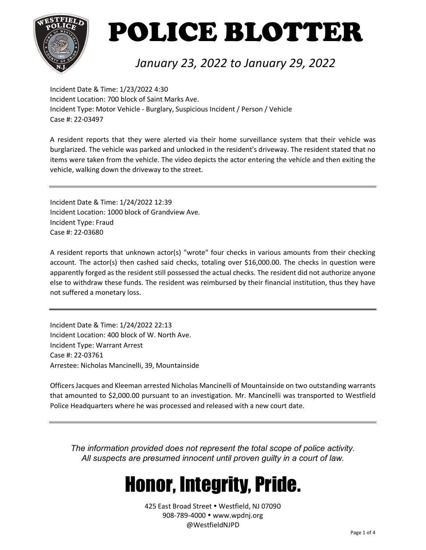

#### *January 23, 2022 to January 29, 2022*

Incident Date & Time: 1/23/2022 4:30 Incident Location: 700 block of Saint Marks Ave. Incident Type: Motor Vehicle - Burglary, Suspicious Incident / Person / Vehicle Case #: 22-03497

A resident reports that they were alerted via their home surveillance system that their vehicle was burglarized. The vehicle was parked and unlocked in the resident's driveway. The resident stated that no items were taken from the vehicle. The video depicts the actor entering the vehicle and then exiting the vehicle, walking down the driveway to the street.

Incident Date & Time: 1/24/2022 12:39 Incident Location: 1000 block of Grandview Ave. Incident Type: Fraud Case #: 22-03680

A resident reports that unknown actor(s) "wrote" four checks in various amounts from their checking account. The actor(s) then cashed said checks, totaling over \$16,000.00. The checks in question were apparently forged as the resident still possessed the actual checks. The resident did not authorize anyone else to withdraw these funds. The resident was reimbursed by their financial institution, thus they have not suffered a monetary loss.

Incident Date & Time: 1/24/2022 22:13 Incident Location: 400 block of W. North Ave. Incident Type: Warrant Arrest Case #: 22-03761 Arrestee: Nicholas Mancinelli, 39, Mountainside

Officers Jacques and Kleeman arrested Nicholas Mancinelli of Mountainside on two outstanding warrants that amounted to \$2,000.00 pursuant to an investigation. Mr. Mancinelli was transported to Westfield Police Headquarters where he was processed and released with a new court date.

*The information provided does not represent the total scope of police activity. All suspects are presumed innocent until proven guilty in a court of law.*

### Honor, Integrity, Pride.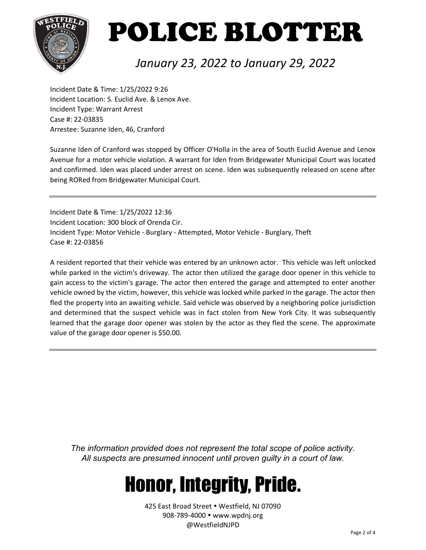

#### *January 23, 2022 to January 29, 2022*

Incident Date & Time: 1/25/2022 9:26 Incident Location: S. Euclid Ave. & Lenox Ave. Incident Type: Warrant Arrest Case #: 22-03835 Arrestee: Suzanne Iden, 46, Cranford

Suzanne Iden of Cranford was stopped by Officer O'Holla in the area of South Euclid Avenue and Lenox Avenue for a motor vehicle violation. A warrant for Iden from Bridgewater Municipal Court was located and confirmed. Iden was placed under arrest on scene. Iden was subsequently released on scene after being RORed from Bridgewater Municipal Court.

Incident Date & Time: 1/25/2022 12:36 Incident Location: 300 block of Orenda Cir. Incident Type: Motor Vehicle - Burglary - Attempted, Motor Vehicle - Burglary, Theft Case #: 22-03856

A resident reported that their vehicle was entered by an unknown actor. This vehicle was left unlocked while parked in the victim's driveway. The actor then utilized the garage door opener in this vehicle to gain access to the victim's garage. The actor then entered the garage and attempted to enter another vehicle owned by the victim, however, this vehicle was locked while parked in the garage. The actor then fled the property into an awaiting vehicle. Said vehicle was observed by a neighboring police jurisdiction and determined that the suspect vehicle was in fact stolen from New York City. It was subsequently learned that the garage door opener was stolen by the actor as they fled the scene. The approximate value of the garage door opener is \$50.00.

*The information provided does not represent the total scope of police activity. All suspects are presumed innocent until proven guilty in a court of law.*

### Honor, Integrity, Pride.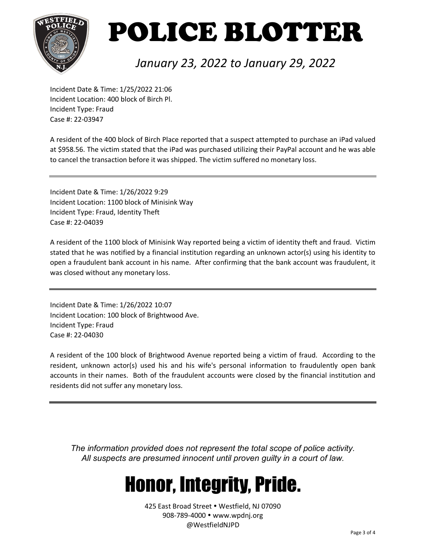

#### *January 23, 2022 to January 29, 2022*

Incident Date & Time: 1/25/2022 21:06 Incident Location: 400 block of Birch Pl. Incident Type: Fraud Case #: 22-03947

A resident of the 400 block of Birch Place reported that a suspect attempted to purchase an iPad valued at \$958.56. The victim stated that the iPad was purchased utilizing their PayPal account and he was able to cancel the transaction before it was shipped. The victim suffered no monetary loss.

Incident Date & Time: 1/26/2022 9:29 Incident Location: 1100 block of Minisink Way Incident Type: Fraud, Identity Theft Case #: 22-04039

A resident of the 1100 block of Minisink Way reported being a victim of identity theft and fraud. Victim stated that he was notified by a financial institution regarding an unknown actor(s) using his identity to open a fraudulent bank account in his name. After confirming that the bank account was fraudulent, it was closed without any monetary loss.

Incident Date & Time: 1/26/2022 10:07 Incident Location: 100 block of Brightwood Ave. Incident Type: Fraud Case #: 22-04030

A resident of the 100 block of Brightwood Avenue reported being a victim of fraud. According to the resident, unknown actor(s) used his and his wife's personal information to fraudulently open bank accounts in their names. Both of the fraudulent accounts were closed by the financial institution and residents did not suffer any monetary loss.

*The information provided does not represent the total scope of police activity. All suspects are presumed innocent until proven guilty in a court of law.*

### Honor, Integrity, Pride.